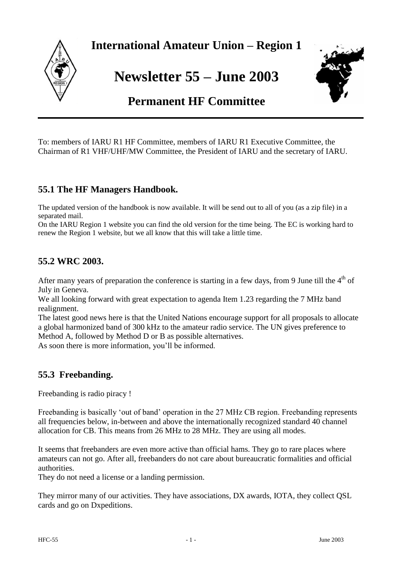

**International Amateur Union – Region 1**

**Newsletter 55 – June 2003**



# **Permanent HF Committee**

To: members of IARU R1 HF Committee, members of IARU R1 Executive Committee, the Chairman of R1 VHF/UHF/MW Committee, the President of IARU and the secretary of IARU.

## **55.1 The HF Managers Handbook.**

The updated version of the handbook is now available. It will be send out to all of you (as a zip file) in a separated mail.

On the IARU Region 1 website you can find the old version for the time being. The EC is working hard to renew the Region 1 website, but we all know that this will take a little time.

## **55.2 WRC 2003.**

After many years of preparation the conference is starting in a few days, from 9 June till the  $4<sup>th</sup>$  of July in Geneva.

We all looking forward with great expectation to agenda Item 1.23 regarding the 7 MHz band realignment.

The latest good news here is that the United Nations encourage support for all proposals to allocate a global harmonized band of 300 kHz to the amateur radio service. The UN gives preference to Method A, followed by Method D or B as possible alternatives.

As soon there is more information, you"ll be informed.

## **55.3 Freebanding.**

Freebanding is radio piracy !

Freebanding is basically "out of band" operation in the 27 MHz CB region. Freebanding represents all frequencies below, in-between and above the internationally recognized standard 40 channel allocation for CB. This means from 26 MHz to 28 MHz. They are using all modes.

It seems that freebanders are even more active than official hams. They go to rare places where amateurs can not go. After all, freebanders do not care about bureaucratic formalities and official authorities.

They do not need a license or a landing permission.

They mirror many of our activities. They have associations, DX awards, IOTA, they collect QSL cards and go on Dxpeditions.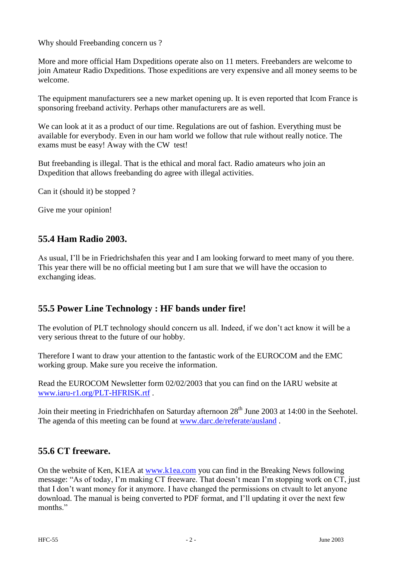Why should Freebanding concern us ?

More and more official Ham Dxpeditions operate also on 11 meters. Freebanders are welcome to join Amateur Radio Dxpeditions. Those expeditions are very expensive and all money seems to be welcome.

The equipment manufacturers see a new market opening up. It is even reported that Icom France is sponsoring freeband activity. Perhaps other manufacturers are as well.

We can look at it as a product of our time. Regulations are out of fashion. Everything must be available for everybody. Even in our ham world we follow that rule without really notice. The exams must be easy! Away with the CW test!

But freebanding is illegal. That is the ethical and moral fact. Radio amateurs who join an Dxpedition that allows freebanding do agree with illegal activities.

Can it (should it) be stopped ?

Give me your opinion!

### **55.4 Ham Radio 2003.**

As usual, I"ll be in Friedrichshafen this year and I am looking forward to meet many of you there. This year there will be no official meeting but I am sure that we will have the occasion to exchanging ideas.

## **55.5 Power Line Technology : HF bands under fire!**

The evolution of PLT technology should concern us all. Indeed, if we don"t act know it will be a very serious threat to the future of our hobby.

Therefore I want to draw your attention to the fantastic work of the EUROCOM and the EMC working group. Make sure you receive the information.

Read the EUROCOM Newsletter form 02/02/2003 that you can find on the IARU website at [www.iaru-r1.org/PLT-HFRISK.rtf](http://www.iaru-r1.org/PLT-HFRISK.rtf) .

Join their meeting in Friedrichhafen on Saturday afternoon 28<sup>th</sup> June 2003 at 14:00 in the Seehotel. The agenda of this meeting can be found at [www.darc.de/referate/ausland](http://www.darc.de/referate/ausland) .

#### **55.6 CT freeware.**

On the website of Ken, K1EA at [www.k1ea.com](http://www.k1ea.com/) you can find in the Breaking News following message: "As of today, I'm making CT freeware. That doesn't mean I'm stopping work on CT, just that I don"t want money for it anymore. I have changed the permissions on ctvault to let anyone download. The manual is being converted to PDF format, and I"ll updating it over the next few months."